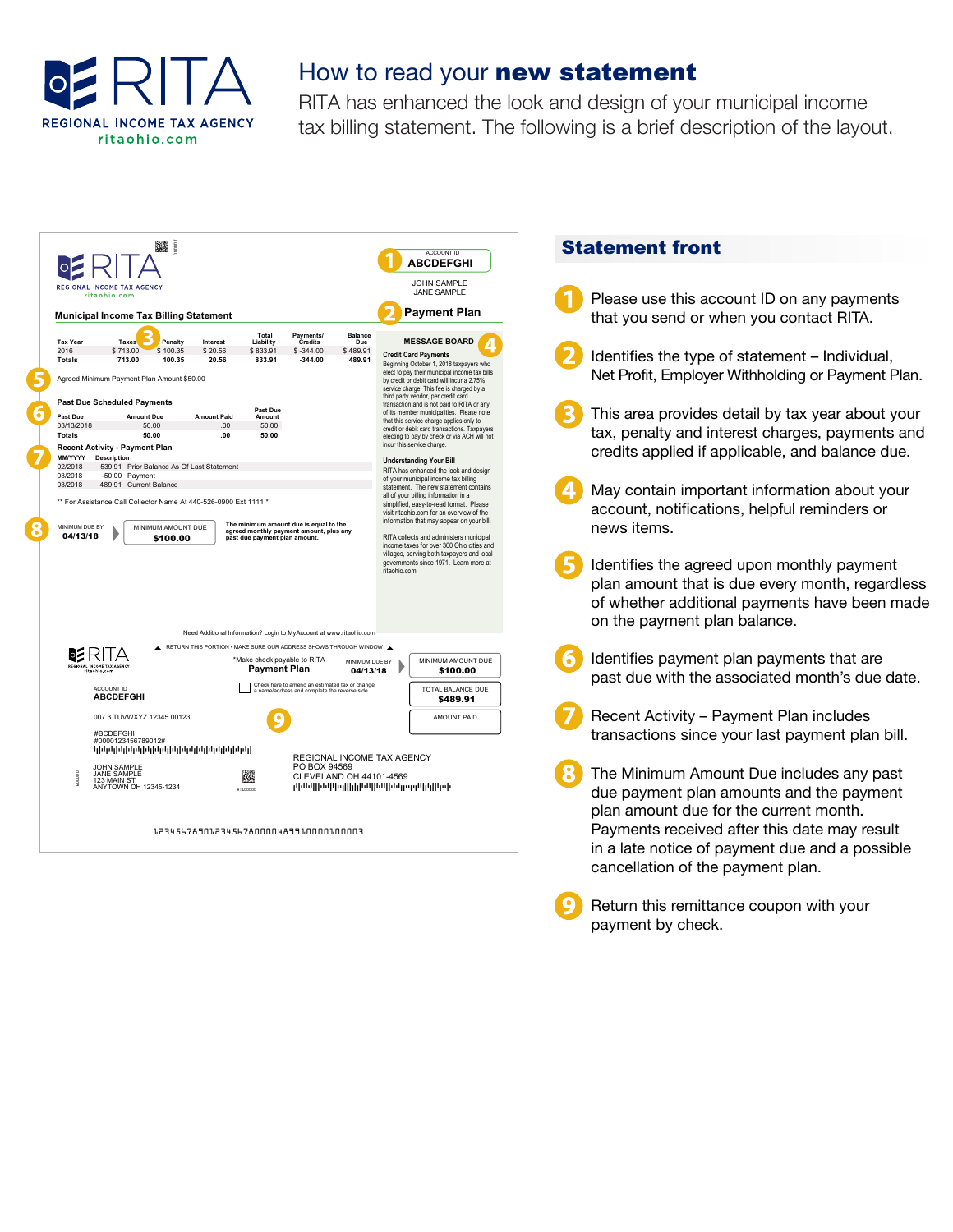

## How to read your **new statement**

RITA has enhanced the look and design of your municipal income tax billing statement. The following is a brief description of the layout.



## Statement front

- Please use this account ID on any payments that you send or when you contact RITA.
- Identifies the type of statement Individual, Net Profit, Employer Withholding or Payment Plan.
- This area provides detail by tax year about your tax, penalty and interest charges, payments and credits applied if applicable, and balance due.
- May contain important information about your account, notifications, helpful reminders or news items.
- Identifies the agreed upon monthly payment plan amount that is due every month, regardless of whether additional payments have been made on the payment plan balance.
	- Identifies payment plan payments that are past due with the associated month's due date.
- Recent Activity Payment Plan includes transactions since your last payment plan bill.
- The Minimum Amount Due includes any past due payment plan amounts and the payment plan amount due for the current month. Payments received after this date may result in a late notice of payment due and a possible cancellation of the payment plan.
- Return this remittance coupon with your payment by check.